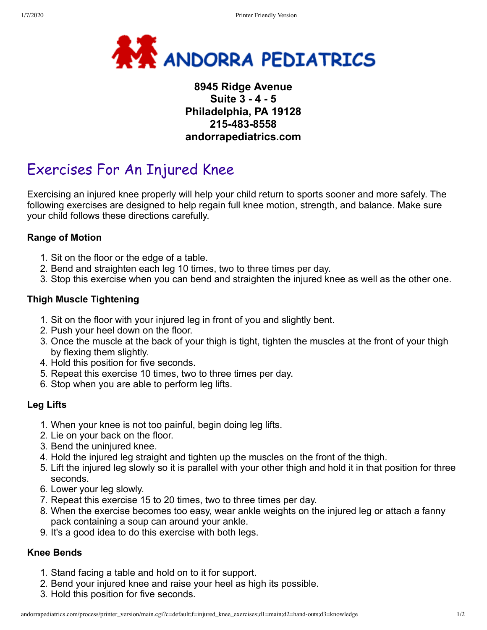

# **8945 Ridge Avenue Suite 3 - 4 - 5 Philadelphia, PA 19128 215-483-8558 andorrapediatrics.com**

# Exercises For An Injured Knee

Exercising an injured knee properly will help your child return to sports sooner and more safely. The following exercises are designed to help regain full knee motion, strength, and balance. Make sure your child follows these directions carefully.

## **Range of Motion**

- 1. Sit on the floor or the edge of a table.
- 2. Bend and straighten each leg 10 times, two to three times per day.
- 3. Stop this exercise when you can bend and straighten the injured knee as well as the other one.

## **Thigh Muscle Tightening**

- 1. Sit on the floor with your injured leg in front of you and slightly bent.
- 2. Push your heel down on the floor.
- 3. Once the muscle at the back of your thigh is tight, tighten the muscles at the front of your thigh by flexing them slightly.
- 4. Hold this position for five seconds.
- 5. Repeat this exercise 10 times, two to three times per day.
- 6. Stop when you are able to perform leg lifts.

#### **Leg Lifts**

- 1. When your knee is not too painful, begin doing leg lifts.
- 2. Lie on your back on the floor.
- 3. Bend the uninjured knee.
- 4. Hold the injured leg straight and tighten up the muscles on the front of the thigh.
- 5. Lift the injured leg slowly so it is parallel with your other thigh and hold it in that position for three seconds.
- 6. Lower your leg slowly.
- 7. Repeat this exercise 15 to 20 times, two to three times per day.
- 8. When the exercise becomes too easy, wear ankle weights on the injured leg or attach a fanny pack containing a soup can around your ankle.
- 9. It's a good idea to do this exercise with both legs.

#### **Knee Bends**

- 1. Stand facing a table and hold on to it for support.
- 2. Bend your injured knee and raise your heel as high its possible.
- 3. Hold this position for five seconds.